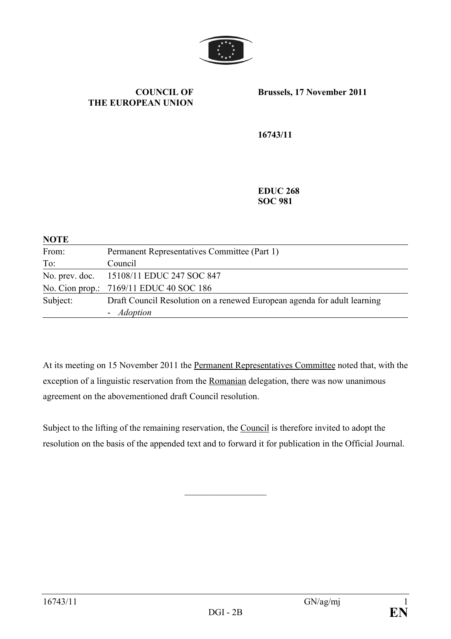

#### **COUNCIL OF THE EUROPEAN UNION**

**Brussels, 17 November 2011** 

**16743/11** 

**EDUC 268 SOC 981** 

| <b>NOTE</b> |                                                                          |
|-------------|--------------------------------------------------------------------------|
| From:       | Permanent Representatives Committee (Part 1)                             |
| To:         | Council                                                                  |
|             | No. prev. doc. 15108/11 EDUC 247 SOC 847                                 |
|             | No. Cion prop.: 7169/11 EDUC 40 SOC 186                                  |
| Subject:    | Draft Council Resolution on a renewed European agenda for adult learning |
|             | - <i>Adoption</i>                                                        |

At its meeting on 15 November 2011 the Permanent Representatives Committee noted that, with the exception of a linguistic reservation from the Romanian delegation, there was now unanimous agreement on the abovementioned draft Council resolution.

Subject to the lifting of the remaining reservation, the Council is therefore invited to adopt the resolution on the basis of the appended text and to forward it for publication in the Official Journal.

 $\mathcal{L}$  , we have the set of the set of the set of the set of the set of the set of the set of the set of the set of the set of the set of the set of the set of the set of the set of the set of the set of the set of the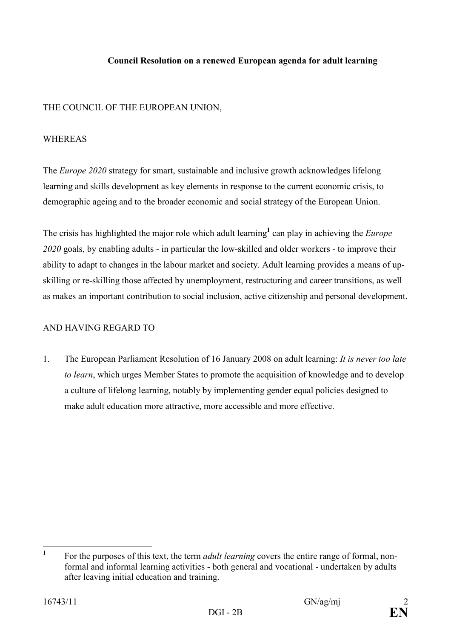#### **Council Resolution on a renewed European agenda for adult learning**

## THE COUNCIL OF THE EUROPEAN UNION,

#### WHEREAS

The *Europe 2020* strategy for smart, sustainable and inclusive growth acknowledges lifelong learning and skills development as key elements in response to the current economic crisis, to demographic ageing and to the broader economic and social strategy of the European Union.

The crisis has highlighted the major role which adult learning<sup>1</sup> can play in achieving the *Europe 2020* goals, by enabling adults - in particular the low-skilled and older workers - to improve their ability to adapt to changes in the labour market and society. Adult learning provides a means of upskilling or re-skilling those affected by unemployment, restructuring and career transitions, as well as makes an important contribution to social inclusion, active citizenship and personal development.

## AND HAVING REGARD TO

1. The European Parliament Resolution of 16 January 2008 on adult learning: *It is never too late to learn*, which urges Member States to promote the acquisition of knowledge and to develop a culture of lifelong learning, notably by implementing gender equal policies designed to make adult education more attractive, more accessible and more effective.

 **1** For the purposes of this text, the term *adult learning* covers the entire range of formal, nonformal and informal learning activities - both general and vocational - undertaken by adults after leaving initial education and training.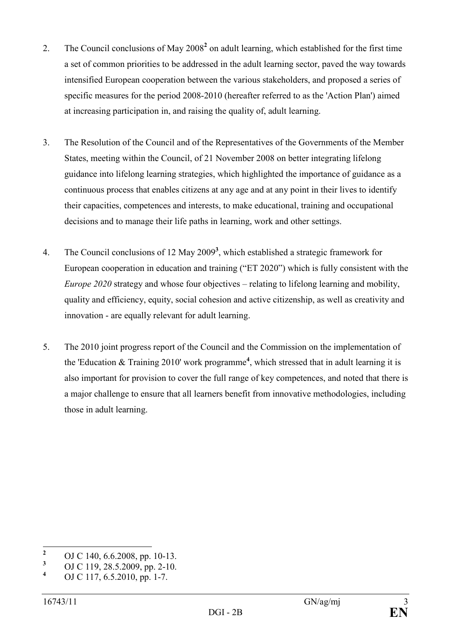- 2. The Council conclusions of May 2008<sup>2</sup> on adult learning, which established for the first time a set of common priorities to be addressed in the adult learning sector, paved the way towards intensified European cooperation between the various stakeholders, and proposed a series of specific measures for the period 2008-2010 (hereafter referred to as the 'Action Plan') aimed at increasing participation in, and raising the quality of, adult learning.
- 3. The Resolution of the Council and of the Representatives of the Governments of the Member States, meeting within the Council, of 21 November 2008 on better integrating lifelong guidance into lifelong learning strategies, which highlighted the importance of guidance as a continuous process that enables citizens at any age and at any point in their lives to identify their capacities, competences and interests, to make educational, training and occupational decisions and to manage their life paths in learning, work and other settings.
- 4. The Council conclusions of 12 May 2009**<sup>3</sup>** , which established a strategic framework for European cooperation in education and training ("ET 2020") which is fully consistent with the *Europe 2020* strategy and whose four objectives – relating to lifelong learning and mobility, quality and efficiency, equity, social cohesion and active citizenship, as well as creativity and innovation - are equally relevant for adult learning.
- 5. The 2010 joint progress report of the Council and the Commission on the implementation of the 'Education & Training 2010' work programme**<sup>4</sup>** , which stressed that in adult learning it is also important for provision to cover the full range of key competences, and noted that there is a major challenge to ensure that all learners benefit from innovative methodologies, including those in adult learning.

 **2** OJ C 140, 6.6.2008, pp. 10-13.

**<sup>3</sup>** OJ C 119, 28.5.2009, pp. 2-10.

**<sup>4</sup>** OJ C 117, 6.5.2010, pp. 1-7.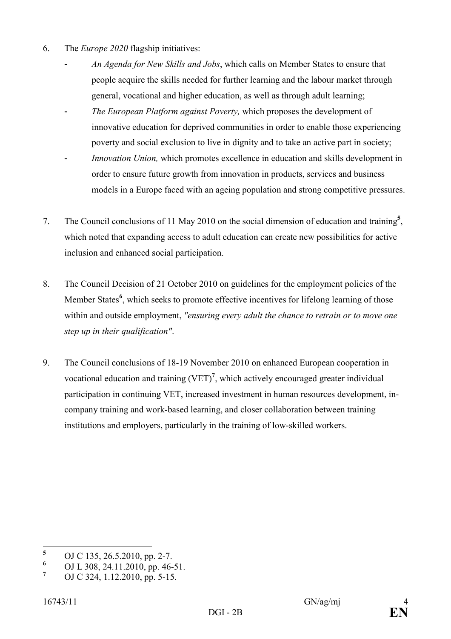- 6. The *Europe 2020* flagship initiatives:
	- An Agenda for New Skills and Jobs, which calls on Member States to ensure that people acquire the skills needed for further learning and the labour market through general, vocational and higher education, as well as through adult learning;
	- The European Platform against Poverty, which proposes the development of innovative education for deprived communities in order to enable those experiencing poverty and social exclusion to live in dignity and to take an active part in society;
	- *Innovation Union*, which promotes excellence in education and skills development in order to ensure future growth from innovation in products, services and business models in a Europe faced with an ageing population and strong competitive pressures.
- 7. The Council conclusions of 11 May 2010 on the social dimension of education and training**<sup>5</sup>** , which noted that expanding access to adult education can create new possibilities for active inclusion and enhanced social participation.
- 8. The Council Decision of 21 October 2010 on guidelines for the employment policies of the Member States<sup>6</sup>, which seeks to promote effective incentives for lifelong learning of those within and outside employment, *"ensuring every adult the chance to retrain or to move one step up in their qualification"*.
- 9. The Council conclusions of 18-19 November 2010 on enhanced European cooperation in vocational education and training (VET)**<sup>7</sup>** , which actively encouraged greater individual participation in continuing VET, increased investment in human resources development, incompany training and work-based learning, and closer collaboration between training institutions and employers, particularly in the training of low-skilled workers.

 **5** OJ C 135, 26.5.2010, pp. 2-7.

**<sup>6</sup>** OJ L 308, 24.11.2010, pp. 46-51.

**<sup>7</sup>** OJ C 324, 1.12.2010, pp. 5-15.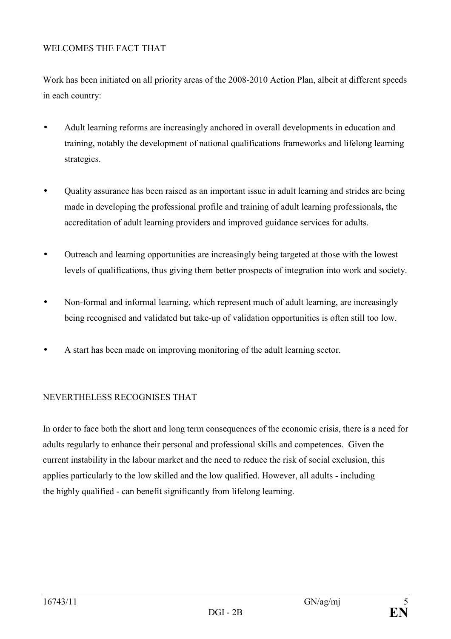## WELCOMES THE FACT THAT

Work has been initiated on all priority areas of the 2008-2010 Action Plan, albeit at different speeds in each country:

- Adult learning reforms are increasingly anchored in overall developments in education and training, notably the development of national qualifications frameworks and lifelong learning strategies.
- Quality assurance has been raised as an important issue in adult learning and strides are being made in developing the professional profile and training of adult learning professionals**,** the accreditation of adult learning providers and improved guidance services for adults.
- Outreach and learning opportunities are increasingly being targeted at those with the lowest levels of qualifications, thus giving them better prospects of integration into work and society.
- Non-formal and informal learning, which represent much of adult learning, are increasingly being recognised and validated but take-up of validation opportunities is often still too low.
- A start has been made on improving monitoring of the adult learning sector.

# NEVERTHELESS RECOGNISES THAT

In order to face both the short and long term consequences of the economic crisis, there is a need for adults regularly to enhance their personal and professional skills and competences. Given the current instability in the labour market and the need to reduce the risk of social exclusion, this applies particularly to the low skilled and the low qualified. However, all adults - including the highly qualified - can benefit significantly from lifelong learning.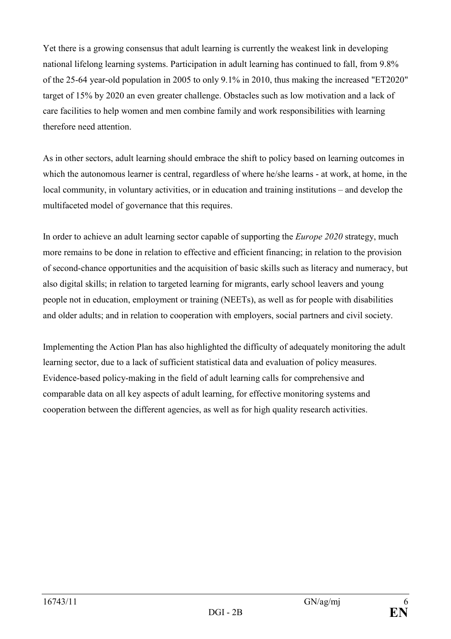Yet there is a growing consensus that adult learning is currently the weakest link in developing national lifelong learning systems. Participation in adult learning has continued to fall, from 9.8% of the 25-64 year-old population in 2005 to only 9.1% in 2010, thus making the increased "ET2020" target of 15% by 2020 an even greater challenge. Obstacles such as low motivation and a lack of care facilities to help women and men combine family and work responsibilities with learning therefore need attention.

As in other sectors, adult learning should embrace the shift to policy based on learning outcomes in which the autonomous learner is central, regardless of where he/she learns - at work, at home, in the local community, in voluntary activities, or in education and training institutions – and develop the multifaceted model of governance that this requires.

In order to achieve an adult learning sector capable of supporting the *Europe 2020* strategy, much more remains to be done in relation to effective and efficient financing; in relation to the provision of second-chance opportunities and the acquisition of basic skills such as literacy and numeracy, but also digital skills; in relation to targeted learning for migrants, early school leavers and young people not in education, employment or training (NEETs), as well as for people with disabilities and older adults; and in relation to cooperation with employers, social partners and civil society.

Implementing the Action Plan has also highlighted the difficulty of adequately monitoring the adult learning sector, due to a lack of sufficient statistical data and evaluation of policy measures. Evidence-based policy-making in the field of adult learning calls for comprehensive and comparable data on all key aspects of adult learning, for effective monitoring systems and cooperation between the different agencies, as well as for high quality research activities.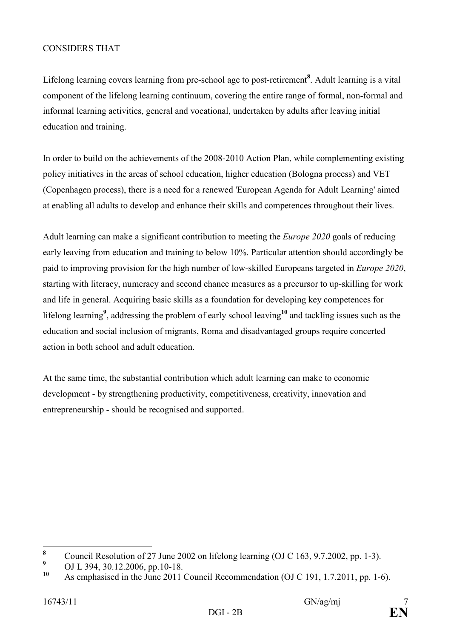## CONSIDERS THAT

Lifelong learning covers learning from pre-school age to post-retirement**<sup>8</sup>** . Adult learning is a vital component of the lifelong learning continuum, covering the entire range of formal, non-formal and informal learning activities, general and vocational, undertaken by adults after leaving initial education and training.

In order to build on the achievements of the 2008-2010 Action Plan, while complementing existing policy initiatives in the areas of school education, higher education (Bologna process) and VET (Copenhagen process), there is a need for a renewed 'European Agenda for Adult Learning' aimed at enabling all adults to develop and enhance their skills and competences throughout their lives.

Adult learning can make a significant contribution to meeting the *Europe 2020* goals of reducing early leaving from education and training to below 10%. Particular attention should accordingly be paid to improving provision for the high number of low-skilled Europeans targeted in *Europe 2020*, starting with literacy, numeracy and second chance measures as a precursor to up-skilling for work and life in general. Acquiring basic skills as a foundation for developing key competences for lifelong learning**<sup>9</sup>** , addressing the problem of early school leaving**<sup>10</sup>** and tackling issues such as the education and social inclusion of migrants, Roma and disadvantaged groups require concerted action in both school and adult education.

At the same time, the substantial contribution which adult learning can make to economic development - by strengthening productivity, competitiveness, creativity, innovation and entrepreneurship - should be recognised and supported.

 **8** Council Resolution of 27 June 2002 on lifelong learning (OJ C 163, 9.7.2002, pp. 1-3).

**<sup>9</sup>** <sup>9</sup> OJ L 394, 30.12.2006, pp.10-18.

**<sup>10</sup>** As emphasised in the June 2011 Council Recommendation (OJ C 191, 1.7.2011, pp. 1-6).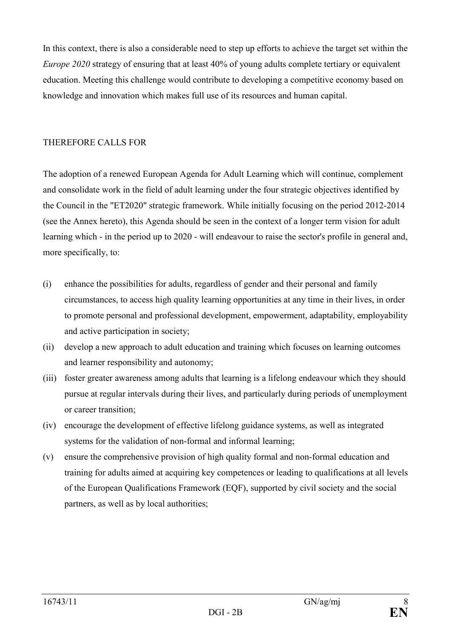In this context, there is also a considerable need to step up efforts to achieve the target set within the *Europe 2020* strategy of ensuring that at least 40% of young adults complete tertiary or equivalent education. Meeting this challenge would contribute to developing a competitive economy based on knowledge and innovation which makes full use of its resources and human capital.

## THEREFORE CALLS FOR

The adoption of a renewed European Agenda for Adult Learning which will continue, complement and consolidate work in the field of adult learning under the four strategic objectives identified by the Council in the "ET2020" strategic framework. While initially focusing on the period 2012-2014 (see the Annex hereto), this Agenda should be seen in the context of a longer term vision for adult learning which - in the period up to 2020 - will endeavour to raise the sector's profile in general and, more specifically, to:

- (i) enhance the possibilities for adults, regardless of gender and their personal and family circumstances, to access high quality learning opportunities at any time in their lives, in order to promote personal and professional development, empowerment, adaptability, employability and active participation in society;
- (ii) develop a new approach to adult education and training which focuses on learning outcomes and learner responsibility and autonomy;
- (iii) foster greater awareness among adults that learning is a lifelong endeavour which they should pursue at regular intervals during their lives, and particularly during periods of unemployment or career transition;
- (iv) encourage the development of effective lifelong guidance systems, as well as integrated systems for the validation of non-formal and informal learning;
- (v) ensure the comprehensive provision of high quality formal and non-formal education and training for adults aimed at acquiring key competences or leading to qualifications at all levels of the European Qualifications Framework (EQF), supported by civil society and the social partners, as well as by local authorities;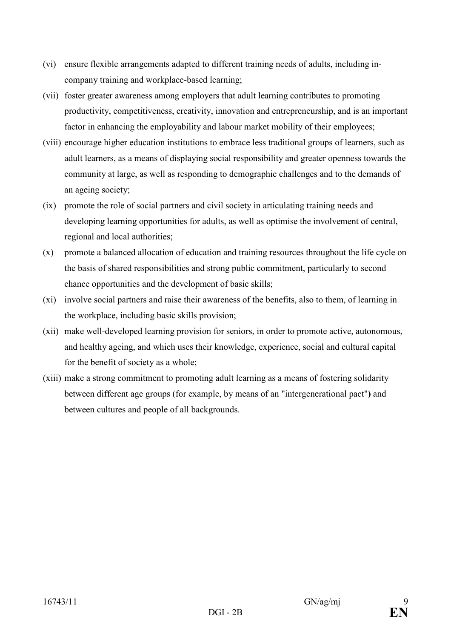- (vi) ensure flexible arrangements adapted to different training needs of adults, including incompany training and workplace-based learning;
- (vii) foster greater awareness among employers that adult learning contributes to promoting productivity, competitiveness, creativity, innovation and entrepreneurship, and is an important factor in enhancing the employability and labour market mobility of their employees;
- (viii) encourage higher education institutions to embrace less traditional groups of learners, such as adult learners, as a means of displaying social responsibility and greater openness towards the community at large, as well as responding to demographic challenges and to the demands of an ageing society;
- (ix) promote the role of social partners and civil society in articulating training needs and developing learning opportunities for adults, as well as optimise the involvement of central, regional and local authorities;
- (x) promote a balanced allocation of education and training resources throughout the life cycle on the basis of shared responsibilities and strong public commitment, particularly to second chance opportunities and the development of basic skills;
- (xi) involve social partners and raise their awareness of the benefits, also to them, of learning in the workplace, including basic skills provision;
- (xii) make well-developed learning provision for seniors, in order to promote active, autonomous, and healthy ageing, and which uses their knowledge, experience, social and cultural capital for the benefit of society as a whole;
- (xiii) make a strong commitment to promoting adult learning as a means of fostering solidarity between different age groups (for example, by means of an "intergenerational pact"**)** and between cultures and people of all backgrounds.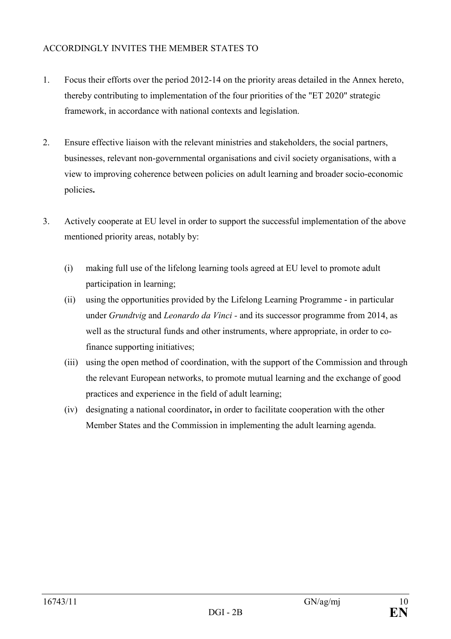## ACCORDINGLY INVITES THE MEMBER STATES TO

- 1. Focus their efforts over the period 2012-14 on the priority areas detailed in the Annex hereto, thereby contributing to implementation of the four priorities of the "ET 2020" strategic framework, in accordance with national contexts and legislation.
- 2. Ensure effective liaison with the relevant ministries and stakeholders, the social partners, businesses, relevant non-governmental organisations and civil society organisations, with a view to improving coherence between policies on adult learning and broader socio-economic policies**.**
- 3. Actively cooperate at EU level in order to support the successful implementation of the above mentioned priority areas, notably by:
	- (i) making full use of the lifelong learning tools agreed at EU level to promote adult participation in learning;
	- (ii) using the opportunities provided by the Lifelong Learning Programme in particular under *Grundtvig* and *Leonardo da Vinci -* and its successor programme from 2014, as well as the structural funds and other instruments, where appropriate, in order to cofinance supporting initiatives;
	- (iii) using the open method of coordination, with the support of the Commission and through the relevant European networks, to promote mutual learning and the exchange of good practices and experience in the field of adult learning;
	- (iv) designating a national coordinator**,** in order to facilitate cooperation with the other Member States and the Commission in implementing the adult learning agenda.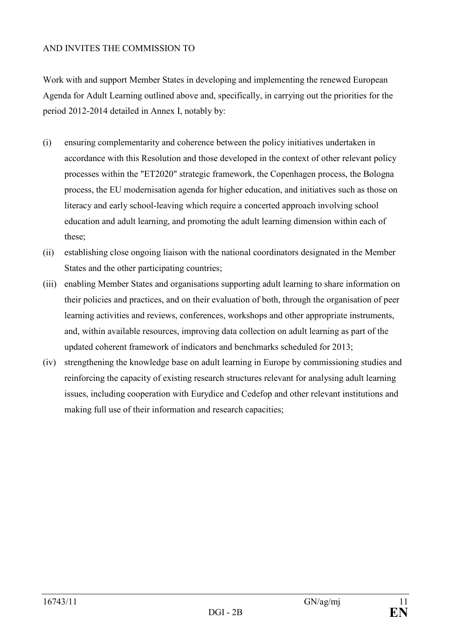## AND INVITES THE COMMISSION TO

Work with and support Member States in developing and implementing the renewed European Agenda for Adult Learning outlined above and, specifically, in carrying out the priorities for the period 2012-2014 detailed in Annex I, notably by:

- (i) ensuring complementarity and coherence between the policy initiatives undertaken in accordance with this Resolution and those developed in the context of other relevant policy processes within the "ET2020" strategic framework, the Copenhagen process, the Bologna process, the EU modernisation agenda for higher education, and initiatives such as those on literacy and early school-leaving which require a concerted approach involving school education and adult learning, and promoting the adult learning dimension within each of these;
- (ii) establishing close ongoing liaison with the national coordinators designated in the Member States and the other participating countries;
- (iii) enabling Member States and organisations supporting adult learning to share information on their policies and practices, and on their evaluation of both, through the organisation of peer learning activities and reviews, conferences, workshops and other appropriate instruments, and, within available resources, improving data collection on adult learning as part of the updated coherent framework of indicators and benchmarks scheduled for 2013;
- (iv) strengthening the knowledge base on adult learning in Europe by commissioning studies and reinforcing the capacity of existing research structures relevant for analysing adult learning issues, including cooperation with Eurydice and Cedefop and other relevant institutions and making full use of their information and research capacities;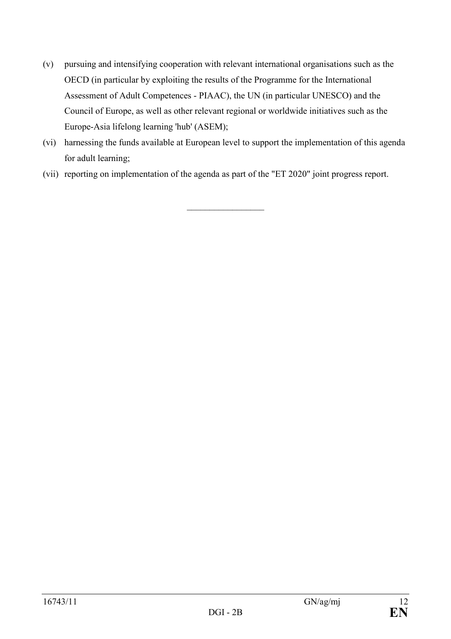- (v) pursuing and intensifying cooperation with relevant international organisations such as the OECD (in particular by exploiting the results of the Programme for the International Assessment of Adult Competences - PIAAC), the UN (in particular UNESCO) and the Council of Europe, as well as other relevant regional or worldwide initiatives such as the Europe-Asia lifelong learning 'hub' (ASEM);
- (vi) harnessing the funds available at European level to support the implementation of this agenda for adult learning;

 $\_$ 

(vii) reporting on implementation of the agenda as part of the "ET 2020" joint progress report.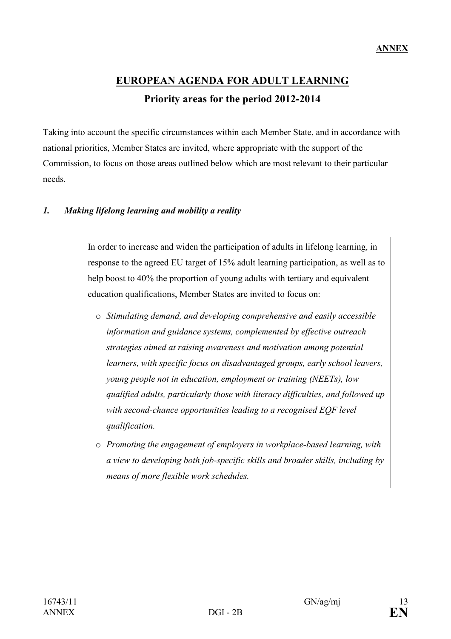# **EUROPEAN AGENDA FOR ADULT LEARNING Priority areas for the period 2012-2014**

Taking into account the specific circumstances within each Member State, and in accordance with national priorities, Member States are invited, where appropriate with the support of the Commission, to focus on those areas outlined below which are most relevant to their particular needs.

## *1. Making lifelong learning and mobility a reality*

In order to increase and widen the participation of adults in lifelong learning, in response to the agreed EU target of 15% adult learning participation, as well as to help boost to 40% the proportion of young adults with tertiary and equivalent education qualifications, Member States are invited to focus on:

- o *Stimulating demand, and developing comprehensive and easily accessible information and guidance systems, complemented by effective outreach strategies aimed at raising awareness and motivation among potential learners, with specific focus on disadvantaged groups, early school leavers, young people not in education, employment or training (NEETs), low qualified adults, particularly those with literacy difficulties, and followed up with second-chance opportunities leading to a recognised EQF level qualification.*
- o *Promoting the engagement of employers in workplace-based learning, with a view to developing both job-specific skills and broader skills, including by means of more flexible work schedules.*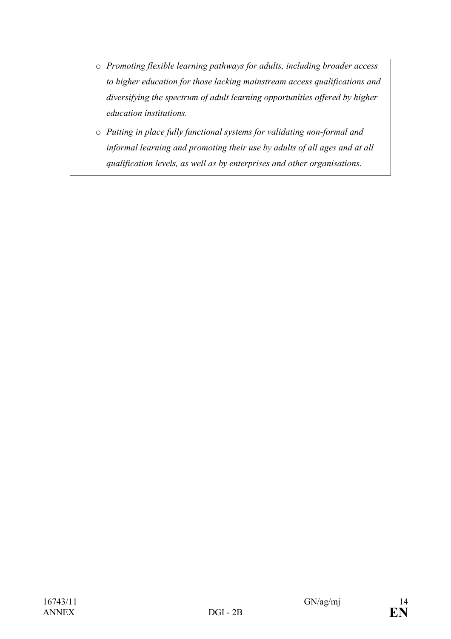- o *Promoting flexible learning pathways for adults, including broader access to higher education for those lacking mainstream access qualifications and diversifying the spectrum of adult learning opportunities offered by higher education institutions.*
- o *Putting in place fully functional systems for validating non-formal and informal learning and promoting their use by adults of all ages and at all qualification levels, as well as by enterprises and other organisations.*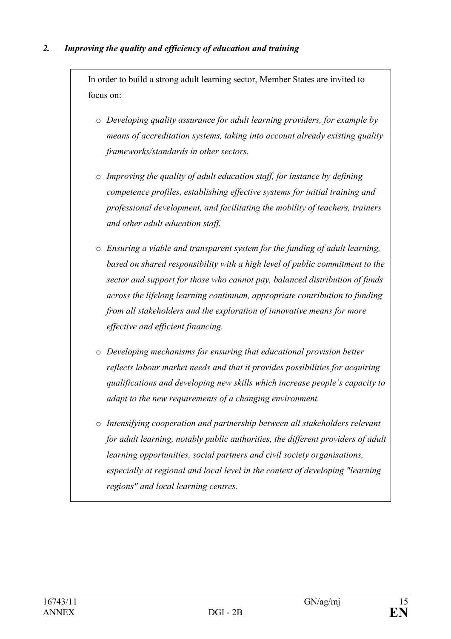# *2. Improving the quality and efficiency of education and training*

In order to build a strong adult learning sector, Member States are invited to focus on:

- o *Developing quality assurance for adult learning providers, for example by means of accreditation systems, taking into account already existing quality frameworks/standards in other sectors.*
- o *Improving the quality of adult education staff, for instance by defining competence profiles, establishing effective systems for initial training and professional development, and facilitating the mobility of teachers, trainers and other adult education staff.*
- o *Ensuring a viable and transparent system for the funding of adult learning, based on shared responsibility with a high level of public commitment to the sector and support for those who cannot pay, balanced distribution of funds across the lifelong learning continuum, appropriate contribution to funding from all stakeholders and the exploration of innovative means for more effective and efficient financing.*
- o *Developing mechanisms for ensuring that educational provision better reflects labour market needs and that it provides possibilities for acquiring qualifications and developing new skills which increase people's capacity to adapt to the new requirements of a changing environment.*
- o *Intensifying cooperation and partnership between all stakeholders relevant for adult learning, notably public authorities, the different providers of adult learning opportunities, social partners and civil society organisations, especially at regional and local level in the context of developing "learning regions" and local learning centres.*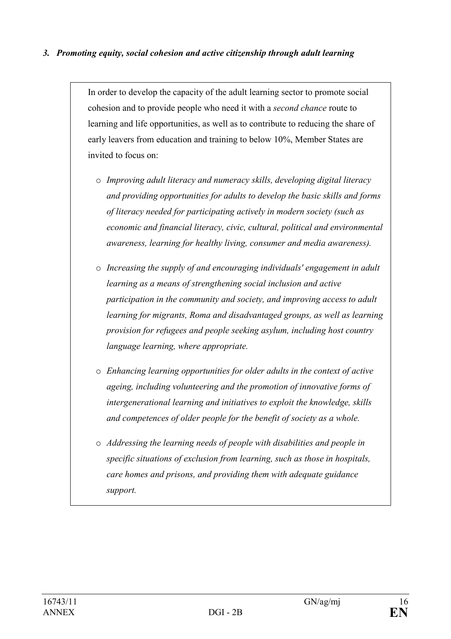## *3. Promoting equity, social cohesion and active citizenship through adult learning*

In order to develop the capacity of the adult learning sector to promote social cohesion and to provide people who need it with a *second chance* route to learning and life opportunities, as well as to contribute to reducing the share of early leavers from education and training to below 10%, Member States are invited to focus on:

- o *Improving adult literacy and numeracy skills, developing digital literacy and providing opportunities for adults to develop the basic skills and forms of literacy needed for participating actively in modern society (such as economic and financial literacy, civic, cultural, political and environmental awareness, learning for healthy living, consumer and media awareness).*
- o *Increasing the supply of and encouraging individuals' engagement in adult learning as a means of strengthening social inclusion and active participation in the community and society, and improving access to adult learning for migrants, Roma and disadvantaged groups, as well as learning provision for refugees and people seeking asylum, including host country language learning, where appropriate.*
- o *Enhancing learning opportunities for older adults in the context of active ageing, including volunteering and the promotion of innovative forms of intergenerational learning and initiatives to exploit the knowledge, skills and competences of older people for the benefit of society as a whole.*
- o *Addressing the learning needs of people with disabilities and people in specific situations of exclusion from learning, such as those in hospitals, care homes and prisons, and providing them with adequate guidance support.*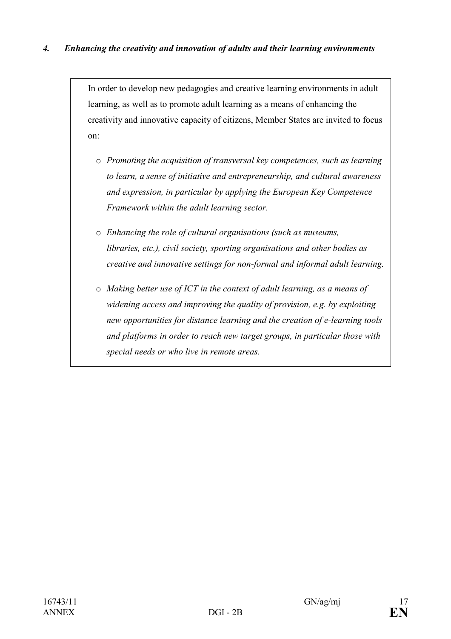In order to develop new pedagogies and creative learning environments in adult learning, as well as to promote adult learning as a means of enhancing the creativity and innovative capacity of citizens, Member States are invited to focus on:

- o *Promoting the acquisition of transversal key competences, such as learning to learn, a sense of initiative and entrepreneurship, and cultural awareness and expression, in particular by applying the European Key Competence Framework within the adult learning sector.*
- o *Enhancing the role of cultural organisations (such as museums, libraries, etc.), civil society, sporting organisations and other bodies as creative and innovative settings for non-formal and informal adult learning.*
- o *Making better use of ICT in the context of adult learning, as a means of widening access and improving the quality of provision, e.g. by exploiting new opportunities for distance learning and the creation of e-learning tools and platforms in order to reach new target groups, in particular those with special needs or who live in remote areas.*